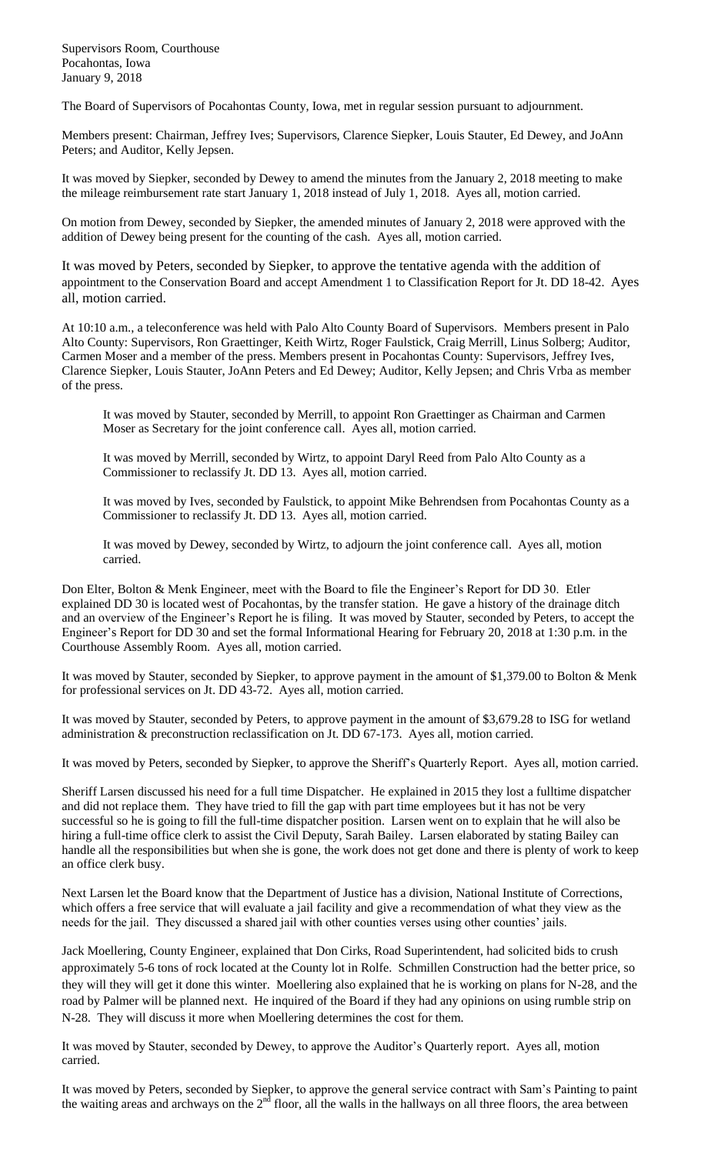Supervisors Room, Courthouse Pocahontas, Iowa January 9, 2018

The Board of Supervisors of Pocahontas County, Iowa, met in regular session pursuant to adjournment.

Members present: Chairman, Jeffrey Ives; Supervisors, Clarence Siepker, Louis Stauter, Ed Dewey, and JoAnn Peters; and Auditor, Kelly Jepsen.

It was moved by Siepker, seconded by Dewey to amend the minutes from the January 2, 2018 meeting to make the mileage reimbursement rate start January 1, 2018 instead of July 1, 2018. Ayes all, motion carried.

On motion from Dewey, seconded by Siepker, the amended minutes of January 2, 2018 were approved with the addition of Dewey being present for the counting of the cash. Ayes all, motion carried.

It was moved by Peters, seconded by Siepker, to approve the tentative agenda with the addition of appointment to the Conservation Board and accept Amendment 1 to Classification Report for Jt. DD 18-42. Ayes all, motion carried.

At 10:10 a.m., a teleconference was held with Palo Alto County Board of Supervisors. Members present in Palo Alto County: Supervisors, Ron Graettinger, Keith Wirtz, Roger Faulstick, Craig Merrill, Linus Solberg; Auditor, Carmen Moser and a member of the press. Members present in Pocahontas County: Supervisors, Jeffrey Ives, Clarence Siepker, Louis Stauter, JoAnn Peters and Ed Dewey; Auditor, Kelly Jepsen; and Chris Vrba as member of the press.

It was moved by Stauter, seconded by Merrill, to appoint Ron Graettinger as Chairman and Carmen Moser as Secretary for the joint conference call. Ayes all, motion carried.

It was moved by Merrill, seconded by Wirtz, to appoint Daryl Reed from Palo Alto County as a Commissioner to reclassify Jt. DD 13. Ayes all, motion carried.

It was moved by Ives, seconded by Faulstick, to appoint Mike Behrendsen from Pocahontas County as a Commissioner to reclassify Jt. DD 13. Ayes all, motion carried.

It was moved by Dewey, seconded by Wirtz, to adjourn the joint conference call. Ayes all, motion carried.

Don Elter, Bolton & Menk Engineer, meet with the Board to file the Engineer's Report for DD 30. Etler explained DD 30 is located west of Pocahontas, by the transfer station. He gave a history of the drainage ditch and an overview of the Engineer's Report he is filing. It was moved by Stauter, seconded by Peters, to accept the Engineer's Report for DD 30 and set the formal Informational Hearing for February 20, 2018 at 1:30 p.m. in the Courthouse Assembly Room. Ayes all, motion carried.

It was moved by Stauter, seconded by Siepker, to approve payment in the amount of \$1,379.00 to Bolton & Menk for professional services on Jt. DD 43-72. Ayes all, motion carried.

It was moved by Stauter, seconded by Peters, to approve payment in the amount of \$3,679.28 to ISG for wetland administration & preconstruction reclassification on Jt. DD 67-173. Ayes all, motion carried.

It was moved by Peters, seconded by Siepker, to approve the Sheriff's Quarterly Report. Ayes all, motion carried.

Sheriff Larsen discussed his need for a full time Dispatcher. He explained in 2015 they lost a fulltime dispatcher and did not replace them. They have tried to fill the gap with part time employees but it has not be very successful so he is going to fill the full-time dispatcher position. Larsen went on to explain that he will also be hiring a full-time office clerk to assist the Civil Deputy, Sarah Bailey. Larsen elaborated by stating Bailey can handle all the responsibilities but when she is gone, the work does not get done and there is plenty of work to keep an office clerk busy.

Next Larsen let the Board know that the Department of Justice has a division, National Institute of Corrections, which offers a free service that will evaluate a jail facility and give a recommendation of what they view as the needs for the jail. They discussed a shared jail with other counties verses using other counties' jails.

Jack Moellering, County Engineer, explained that Don Cirks, Road Superintendent, had solicited bids to crush approximately 5-6 tons of rock located at the County lot in Rolfe. Schmillen Construction had the better price, so they will they will get it done this winter. Moellering also explained that he is working on plans for N-28, and the road by Palmer will be planned next. He inquired of the Board if they had any opinions on using rumble strip on N-28. They will discuss it more when Moellering determines the cost for them.

It was moved by Stauter, seconded by Dewey, to approve the Auditor's Quarterly report. Ayes all, motion carried.

It was moved by Peters, seconded by Siepker, to approve the general service contract with Sam's Painting to paint the waiting areas and archways on the  $2<sup>nd</sup>$  floor, all the walls in the hallways on all three floors, the area between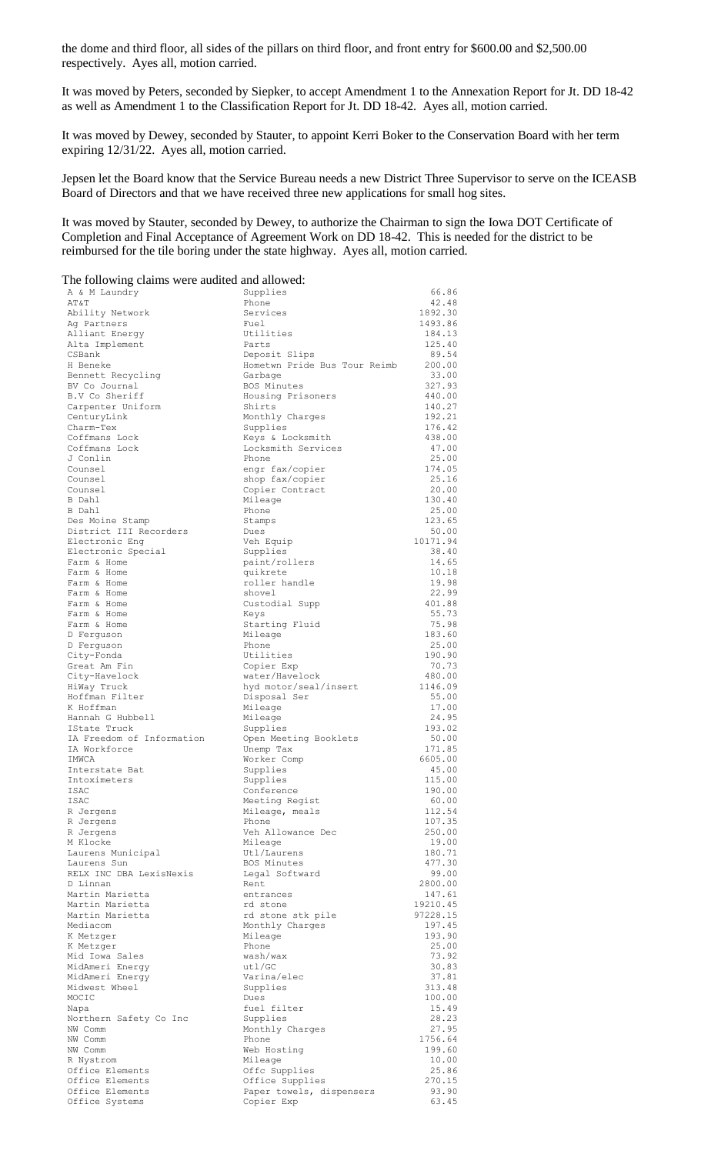the dome and third floor, all sides of the pillars on third floor, and front entry for \$600.00 and \$2,500.00 respectively. Ayes all, motion carried.

It was moved by Peters, seconded by Siepker, to accept Amendment 1 to the Annexation Report for Jt. DD 18-42 as well as Amendment 1 to the Classification Report for Jt. DD 18-42. Ayes all, motion carried.

It was moved by Dewey, seconded by Stauter, to appoint Kerri Boker to the Conservation Board with her term expiring 12/31/22. Ayes all, motion carried.

Jepsen let the Board know that the Service Bureau needs a new District Three Supervisor to serve on the ICEASB Board of Directors and that we have received three new applications for small hog sites.

It was moved by Stauter, seconded by Dewey, to authorize the Chairman to sign the Iowa DOT Certificate of Completion and Final Acceptance of Agreement Work on DD 18-42. This is needed for the district to be reimbursed for the tile boring under the state highway. Ayes all, motion carried.

The following claims were audited and allowed:

| A & M Laundry                        | Supplies                                      | 66.86             |
|--------------------------------------|-----------------------------------------------|-------------------|
| AT&T                                 | Phone                                         | 42.48             |
| Ability Network                      | Services                                      | 1892.30           |
| Ag Partners                          | Fuel                                          | 1493.86           |
| Alliant Energy                       | Utilities                                     | 184.13            |
| Alta Implement                       | Parts                                         | 125.40            |
| CSBank<br>H Beneke                   | Deposit Slips<br>Hometwn Pride Bus Tour Reimb | 89.54<br>200.00   |
| Bennett Recycling                    | Garbage                                       | 33.00             |
| BV Co Journal                        | BOS Minutes                                   | 327.93            |
| B.V Co Sheriff                       | Housing Prisoners                             | 440.00            |
| Carpenter Uniform                    | Shirts                                        | 140.27            |
| CenturyLink                          | Monthly Charges                               | 192.21            |
| Charm-Tex                            | Supplies                                      | 176.42            |
| Coffmans Lock                        | Keys & Locksmith                              | 438.00            |
| Coffmans Lock                        | Locksmith Services                            | 47.00             |
| J Conlin                             | Phone                                         | 25.00             |
| Counsel                              | engr fax/copier                               | 174.05            |
| Counsel                              | shop fax/copier                               | 25.16             |
| Counsel                              | Copier Contract                               | 20.00             |
| B Dahl                               | Mileage                                       | 130.40            |
| B Dahl                               | Phone                                         | 25.00             |
| Des Moine Stamp                      | Stamps                                        | 123.65            |
| District III Recorders               | Dues                                          | 50.00<br>10171.94 |
| Electronic Eng<br>Electronic Special | Veh Equip<br>Supplies                         | 38.40             |
| Farm & Home                          | paint/rollers                                 | 14.65             |
| Farm & Home                          | quikrete                                      | 10.18             |
| Farm & Home                          | roller handle                                 | 19.98             |
| Farm & Home                          | shovel                                        | 22.99             |
| Farm & Home                          | Custodial Supp                                | 401.88            |
| Farm & Home                          | Keys                                          | 55.73             |
| Farm & Home                          | Starting Fluid                                | 75.98             |
| D Ferguson                           | Mileage                                       | 183.60            |
| D Ferguson                           | Phone                                         | 25.00             |
| City-Fonda                           | Utilities                                     | 190.90            |
| Great Am Fin                         | Copier Exp                                    | 70.73             |
| City-Havelock                        | water/Havelock                                | 480.00            |
| HiWay Truck                          | hyd motor/seal/insert                         | 1146.09           |
| Hoffman Filter                       | Disposal Ser                                  | 55.00             |
| K Hoffman                            | Mileage                                       | 17.00             |
| Hannah G Hubbell<br>IState Truck     | Mileage                                       | 24.95             |
| IA Freedom of Information            | Supplies                                      | 193.02<br>50.00   |
| IA Workforce                         | Open Meeting Booklets<br>Unemp Tax            | 171.85            |
| TMWCA                                | Worker Comp                                   | 6605.00           |
| Interstate Bat                       | Supplies                                      | 45.00             |
| Intoximeters                         | Supplies                                      | 115.00            |
| <b>TSAC</b>                          | Conference                                    | 190.00            |
| ISAC                                 | Meeting Regist                                | 60.00             |
| R Jergens                            | Mileage, meals                                | 112.54            |
| R Jergens                            | Phone                                         | 107.35            |
| R Jergens                            | Veh Allowance Dec                             | 250.00            |
| M Klocke                             | Mileage                                       | 19.00             |
| Laurens Municipal                    | Utl/Laurens                                   | 180.71            |
| Laurens Sun                          | BOS Minutes                                   | 477.30            |
| RELX INC DBA LexisNexis              | Legal Softward                                | 99.00             |
| D Linnan<br>Martin Marietta          | Rent<br>entrances                             | 2800.00<br>147.61 |
| Martin Marietta                      | rd stone                                      | 19210.45          |
| Martin Marietta                      | rd stone stk pile                             | 97228.15          |
| Mediacom                             | Monthly Charges                               | 197.45            |
| K Metzger                            | Mileage                                       | 193.90            |
| K Metzger                            | Phone                                         | 25.00             |
| Mid Iowa Sales                       | wash/wax                                      | 73.92             |
| MidAmeri Energy                      | ut1/GC                                        | 30.83             |
| MidAmeri Energy                      | Varina/elec                                   | 37.81             |
| Midwest Wheel                        | Supplies                                      | 313.48            |
| MOCIC                                | Dues                                          | 100.00            |
| Napa                                 | fuel filter                                   | 15.49             |
| Northern Safety Co Inc               | Supplies                                      | 28.23             |
| NW Comm                              | Monthly Charges                               | 27.95             |
| NW Comm                              | Phone                                         | 1756.64           |
| NW Comm<br>R Nystrom                 | Web Hosting<br>Mileage                        | 199.60<br>10.00   |
| Office Elements                      | Offc Supplies                                 | 25.86             |
| Office Elements                      | Office Supplies                               | 270.15            |
| Office Elements                      | Paper towels, dispensers                      | 93.90             |
| Office Systems                       | Copier Exp                                    | 63.45             |